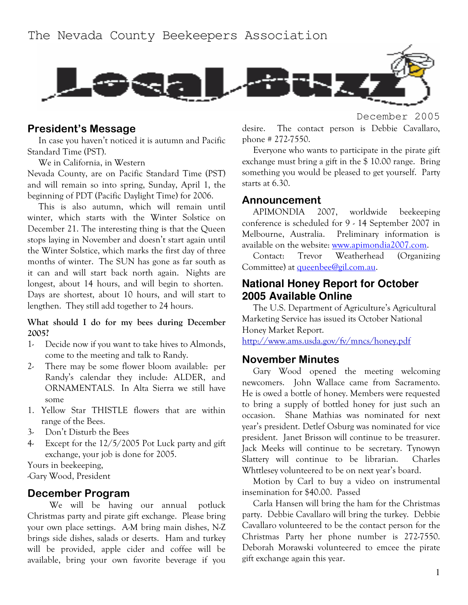

#### President's Message

In case you haven't noticed it is autumn and Pacific Standard Time (PST).

We in California, in Western

Nevada County, are on Pacific Standard Time (PST) and will remain so into spring, Sunday, April 1, the beginning of PDT (Pacific Daylight Time) for 2006.

This is also autumn, which will remain until winter, which starts with the Winter Solstice on December 21. The interesting thing is that the Queen stops laying in November and doesn't start again until the Winter Solstice, which marks the first day of three months of winter. The SUN has gone as far south as it can and will start back north again. Nights are longest, about 14 hours, and will begin to shorten. Days are shortest, about 10 hours, and will start to lengthen. They still add together to 24 hours.

#### What should I do for my bees during December 2005?

- Decide now if you want to take hives to Almonds,  $1$ come to the meeting and talk to Randy.
- $2 -$ There may be some flower bloom available: per Randy's calendar they include: ALDER, and ORNAMENTALS. In Alta Sierra we still have some
- 1. Yellow Star THISTLE flowers that are within range of the Bees.
- $3-$ Don't Disturb the Bees
- Except for the  $12/5/2005$  Pot Luck party and gift  $4$ exchange, your job is done for 2005.

Yours in beekeeping,

-Gary Wood, President

#### December Program

We will be having our annual potluck Christmas party and pirate gift exchange. Please bring your own place settings. A-M bring main dishes, N-Z brings side dishes, salads or deserts. Ham and turkey will be provided, apple cider and coffee will be available, bring your own favorite beverage if you December 2005

desire. The contact person is Debbie Cavallaro, phone  $\#$  272-7550.

Everyone who wants to participate in the pirate gift exchange must bring a gift in the \$10.00 range. Bring something you would be pleased to get yourself. Party starts at 6.30.

#### Announcement

**APIMONDIA** 2007. worldwide beekeeping conference is scheduled for 9 - 14 September 2007 in Melbourne, Australia. Preliminary information is available on the website: www.apimondia2007.com.

Contact: Trevor Weatherhead (Organizing Committee) at queenbee@gil.com.au.

### **National Honey Report for October** 2005 Available Online

The U.S. Department of Agriculture's Agricultural Marketing Service has issued its October National Honey Market Report.

http://www.ams.usda.gov/fv/mncs/honey.pdf

### **November Minutes**

Gary Wood opened the meeting welcoming newcomers. John Wallace came from Sacramento. He is owed a bottle of honey. Members were requested to bring a supply of bottled honey for just such an occasion. Shane Mathias was nominated for next year's president. Detlef Osburg was nominated for vice president. Janet Brisson will continue to be treasurer. Jack Meeks will continue to be secretary. Tynowyn Slattery will continue to be librarian. Charles Whttlesey volunteered to be on next year's board.

Motion by Carl to buy a video on instrumental insemination for \$40.00. Passed

Carla Hansen will bring the ham for the Christmas party. Debbie Cavallaro will bring the turkey. Debbie Cavallaro volunteered to be the contact person for the Christmas Party her phone number is 272-7550. Deborah Morawski volunteered to emcee the pirate gift exchange again this year.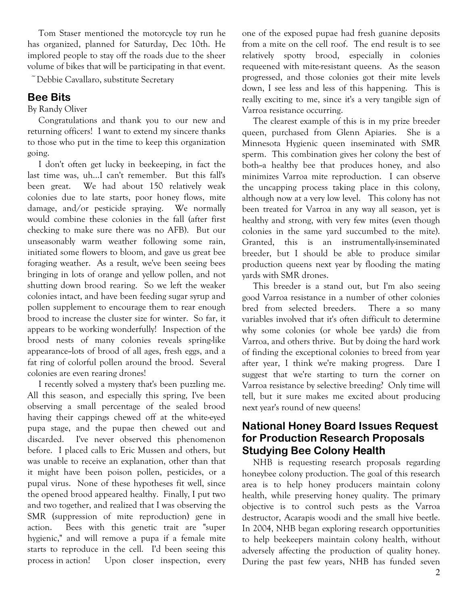Tom Staser mentioned the motorcycle toy run he has organized, planned for Saturday, Dec 10th. He implored people to stay off the roads due to the sheer volume of bikes that will be participating in that event.

 $\tilde{\phantom{a}}$  Debbie Cavallaro, substitute Secretary

## **Bee Bits**

By Randy Oliver

Congratulations and thank you to our new and returning officers! I want to extend my sincere thanks to those who put in the time to keep this organization going.

I don't often get lucky in beekeeping, in fact the last time was, uh...I can't remember. But this fall's been great. We had about 150 relatively weak colonies due to late starts, poor honey flows, mite damage, and/or pesticide spraying. We normally would combine these colonies in the fall (after first checking to make sure there was no AFB). But our unseasonably warm weather following some rain, initiated some flowers to bloom, and gave us great bee foraging weather. As a result, we've been seeing bees bringing in lots of orange and yellow pollen, and not shutting down brood rearing. So we left the weaker colonies intact, and have been feeding sugar syrup and pollen supplement to encourage them to rear enough brood to increase the cluster size for winter. So far, it appears to be working wonderfully! Inspection of the brood nests of many colonies reveals spring-like appearance-lots of brood of all ages, fresh eggs, and a fat ring of colorful pollen around the brood. Several colonies are even rearing drones!

I recently solved a mystery that's been puzzling me. All this season, and especially this spring, I've been observing a small percentage of the sealed brood having their cappings chewed off at the white-eyed pupa stage, and the pupae then chewed out and I've never observed this phenomenon discarded. before. I placed calls to Eric Mussen and others, but was unable to receive an explanation, other than that it might have been poison pollen, pesticides, or a pupal virus. None of these hypotheses fit well, since the opened brood appeared healthy. Finally, I put two and two together, and realized that I was observing the SMR (suppression of mite reproduction) gene in action. Bees with this genetic trait are "super hygienic," and will remove a pupa if a female mite starts to reproduce in the cell. I'd been seeing this Upon closer inspection, every process in action!

one of the exposed pupae had fresh guanine deposits from a mite on the cell roof. The end result is to see relatively spotty brood, especially in colonies requeened with mite-resistant queens. As the season progressed, and those colonies got their mite levels down, I see less and less of this happening. This is really exciting to me, since it's a very tangible sign of Varroa resistance occurring.

The clearest example of this is in my prize breeder queen, purchased from Glenn Apiaries. She is a Minnesota Hygienic queen inseminated with SMR sperm. This combination gives her colony the best of both-a healthy bee that produces honey, and also minimizes Varroa mite reproduction. I can observe the uncapping process taking place in this colony, although now at a very low level. This colony has not been treated for Varroa in any way all season, yet is healthy and strong, with very few mites (even though colonies in the same yard succumbed to the mite). Granted, this is an instrumentally-inseminated breeder, but I should be able to produce similar production queens next year by flooding the mating vards with SMR drones.

This breeder is a stand out, but I'm also seeing good Varroa resistance in a number of other colonies bred from selected breeders. There a so many variables involved that it's often difficult to determine why some colonies (or whole bee yards) die from Varroa, and others thrive. But by doing the hard work of finding the exceptional colonies to breed from year after year, I think we're making progress. Dare I suggest that we're starting to turn the corner on Varroa resistance by selective breeding? Only time will tell, but it sure makes me excited about producing next year's round of new queens!

### **National Honey Board Issues Request** for Production Research Proposals **Studying Bee Colony Health**

NHB is requesting research proposals regarding honeybee colony production. The goal of this research area is to help honey producers maintain colony health, while preserving honey quality. The primary objective is to control such pests as the Varroa destructor, Acarapis woodi and the small hive beetle. In 2004, NHB began exploring research opportunities to help beekeepers maintain colony health, without adversely affecting the production of quality honey. During the past few years, NHB has funded seven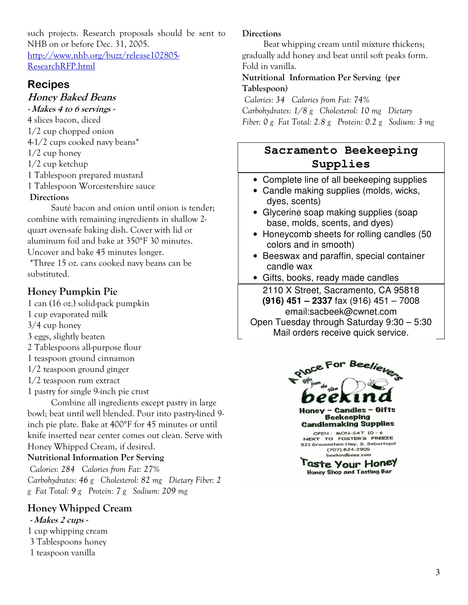such projects. Research proposals should be sent to NHB on or before Dec. 31, 2005. http://www.nhb.org/buzz/release102805-ResearchRFP.html

## **Recipes**

## **Honey Baked Beans**

- Makes 4 to 6 servings -4 slices bacon, diced  $1/2$  cup chopped onion 4-1/2 cups cooked navy beans\*  $1/2$  cup honey  $1/2$  cup ketchup 1 Tablespoon prepared mustard 1 Tablespoon Worcestershire sauce **Directions** Sauté bacon and onion until onion is tender;

combine with remaining ingredients in shallow 2quart oven-safe baking dish. Cover with lid or aluminum foil and bake at 350°F 30 minutes. Uncover and bake 45 minutes longer.

\*Three 15 oz. cans cooked navy beans can be substituted.

### Honey Pumpkin Pie

1 can (16 oz.) solid-pack pumpkin

- 1 cup evaporated milk
- $3/4$  cup honey
- 3 eggs, slightly beaten
- 2 Tablespoons all-purpose flour
- 1 teaspoon ground cinnamon
- $1/2$  teaspoon ground ginger
- $1/2$  teaspoon rum extract
- 1 pastry for single 9-inch pie crust

Combine all ingredients except pastry in large bowl; beat until well blended. Pour into pastry-lined 9inch pie plate. Bake at 400°F for 45 minutes or until knife inserted near center comes out clean. Serve with Honey Whipped Cream, if desired.

### **Nutritional Information Per Serving**

Calories: 284 Calories from Fat: 27% Carbohydrates: 46 g Cholesterol: 82 mg Dietary Fiber: 2 g Fat Total: 9 g Protein: 7 g Sodium: 209 mg

## **Honey Whipped Cream**

#### - Makes 2 cups -

- 1 cup whipping cream
- 3 Tablespoons honey
- 1 teaspoon vanilla

### **Directions**

Beat whipping cream until mixture thickens; gradually add honey and beat until soft peaks form. Fold in vanilla.

#### Nutritional Information Per Serving (per Tablespoon)

Calories: 34 Calories from Fat: 74% Carbohydrates: 1/8 g Cholesterol: 10 mg Dietary Fiber: 0 g Fat Total: 2.8 g Protein: 0.2 g Sodium: 3 mg

# Sacramento Beekeeping Supplies

- Complete line of all beekeeping supplies
- Candle making supplies (molds, wicks, dyes, scents)
- Glycerine soap making supplies (soap base, molds, scents, and dyes)
- Honeycomb sheets for rolling candles (50) colors and in smooth)
- Beeswax and paraffin, special container candle wax
- Gifts, books, ready made candles

2110 X Street, Sacramento, CA 95818  $(916)$  451 - 2337 fax (916) 451 - 7008 email:sacbeek@cwnet.com Open Tuesday through Saturday 9:30 - 5:30

Mail orders receive quick service.